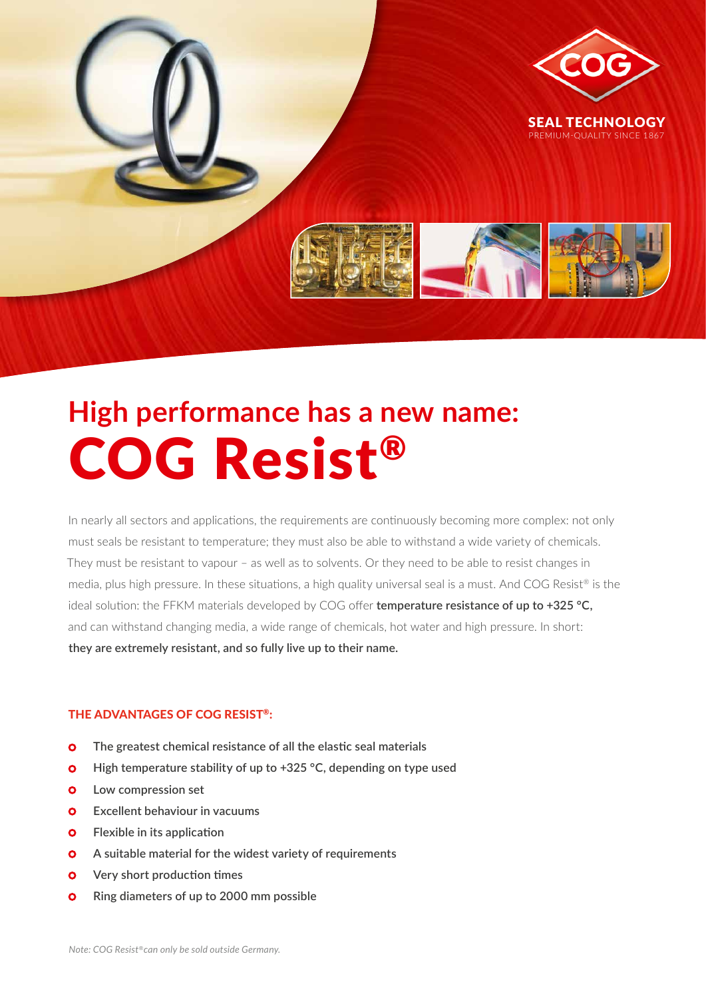

# **High performance has a new name:** COG Resist®

In nearly all sectors and applications, the requirements are continuously becoming more complex: not only must seals be resistant to temperature; they must also be able to withstand a wide variety of chemicals. They must be resistant to vapour – as well as to solvents. Or they need to be able to resist changes in media, plus high pressure. In these situations, a high quality universal seal is a must. And COG Resist® is the ideal solution: the FFKM materials developed by COG offer **temperature resistance of up to +325 °C,** and can withstand changing media, a wide range of chemicals, hot water and high pressure. In short: **they are extremely resistant, and so fully live up to their name.**

#### THE ADVANTAGES OF COG RESIST®:

- **The greatest chemical resistance of all the elastic seal materials**
- **o** High temperature stability of up to +325 °C, depending on type used
- $O$  Low compression set
- $\bullet$  Excellent behaviour in vacuums
- **Flexible in its application**  $\bullet$
- **Q** A suitable material for the widest variety of requirements
- **Very short production times**  $\bullet$
- $\bullet$  Ring diameters of up to 2000 mm possible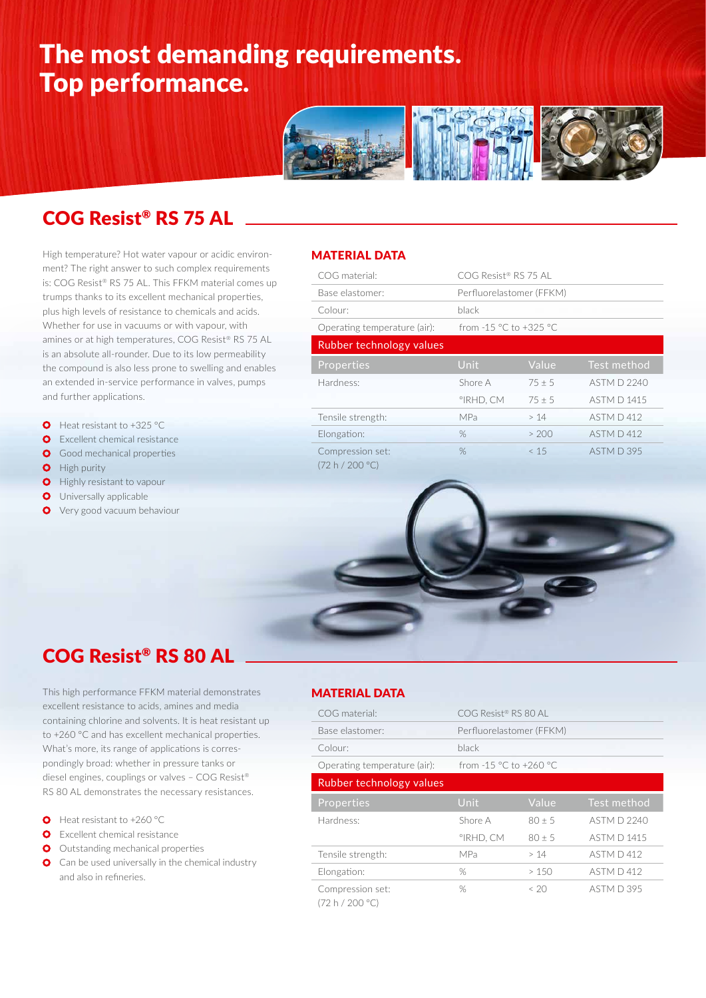## The most demanding requirements. Top performance.



### COG Resist® RS 75 AL

High temperature? Hot water vapour or acidic environment? The right answer to such complex requirements is: COG Resist® RS 75 AL. This FFKM material comes up trumps thanks to its excellent mechanical properties, plus high levels of resistance to chemicals and acids. Whether for use in vacuums or with vapour, with amines or at high temperatures, COG Resist® RS 75 AL is an absolute all-rounder. Due to its low permeability the compound is also less prone to swelling and enables an extended in-service performance in valves, pumps and further applications.

- **O** Heat resistant to +325 °C
- **O** Excellent chemical resistance
- **O** Good mechanical properties
- **O** High purity
- **O** Highly resistant to vapour
- **O** Universally applicable
- **O** Very good vacuum behaviour

#### MATERIAL DATA

| COG material:                       | COG Resist® RS 75 AL     |          |             |  |
|-------------------------------------|--------------------------|----------|-------------|--|
| Base elastomer:                     | Perfluorelastomer (FFKM) |          |             |  |
| Colour:                             | black                    |          |             |  |
| Operating temperature (air):        | from -15 °C to +325 °C   |          |             |  |
| Rubber technology values            |                          |          |             |  |
| Properties                          | <b>Unit</b>              | Value    | Test method |  |
| Hardness:                           | Shore A                  | $75 + 5$ | ASTM D 2240 |  |
|                                     | °IRHD. CM                | $75 + 5$ | ASTM D 1415 |  |
| Tensile strength:                   | MPa                      | >14      | ASTM D 412  |  |
| Elongation:                         | %                        | > 200    | ASTM D412   |  |
| Compression set:<br>(72 h / 200 °C) | $\%$                     | < 15     | ASTM D 395  |  |



This high performance FFKM material demonstrates excellent resistance to acids, amines and media containing chlorine and solvents. It is heat resistant up to +260 °C and has excellent mechanical properties. What's more, its range of applications is correspondingly broad: whether in pressure tanks or diesel engines, couplings or valves – COG Resist® RS 80 AL demonstrates the necessary resistances.

- **O** Heat resistant to +260 °C
- **O** Excellent chemical resistance
- O Outstanding mechanical properties
- **O** Can be used universally in the chemical industry and also in refineries.

#### MATERIAL DATA

| COG material:                       | $COG$ Resist® RS 80 AL   |            |             |  |
|-------------------------------------|--------------------------|------------|-------------|--|
| Base elastomer:                     | Perfluorelastomer (FFKM) |            |             |  |
| Colour:                             | black                    |            |             |  |
| Operating temperature (air):        | from -1.5 °C to +260 °C  |            |             |  |
| Rubber technology values            |                          |            |             |  |
| Properties                          | Unit                     | Value      | Test method |  |
| Hardness:                           | Shore A                  | $80 \pm 5$ | ASTM D 2240 |  |
|                                     | °IRHD, CM                | $80 \pm 5$ | ASTM D 1415 |  |
| Tensile strength:                   | MPa                      | >14        | ASTM D 412  |  |
| Elongation:                         | %                        | >150       | ASTM D 412  |  |
| Compression set:<br>(72 h / 200 °C) | %                        | < 20       | ASTM D 395  |  |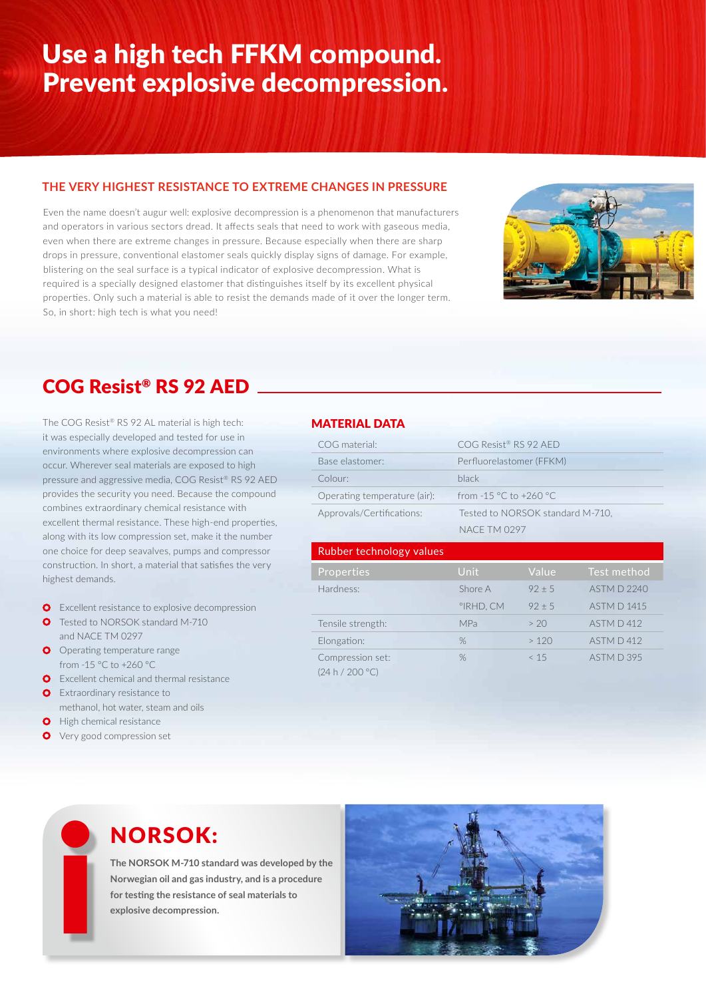### Use a high tech FFKM compound. Prevent explosive decompression.

#### **THE VERY HIGHEST RESISTANCE TO EXTREME CHANGES IN PRESSURE**

Even the name doesn't augur well: explosive decompression is a phenomenon that manufacturers and operators in various sectors dread. It affects seals that need to work with gaseous media, even when there are extreme changes in pressure. Because especially when there are sharp drops in pressure, conventional elastomer seals quickly display signs of damage. For example, blistering on the seal surface is a typical indicator of explosive decompression. What is required is a specially designed elastomer that distinguishes itself by its excellent physical properties. Only such a material is able to resist the demands made of it over the longer term. So, in short: high tech is what you need!



### COG Resist® RS 92 AED

The COG Resist® RS 92 AL material is high tech: it was especially developed and tested for use in environments where explosive decompression can occur. Wherever seal materials are exposed to high pressure and aggressive media, COG Resist® RS 92 AED provides the security you need. Because the compound combines extraordinary chemical resistance with excellent thermal resistance. These high-end properties, along with its low compression set, make it the number one choice for deep seavalves, pumps and compressor construction. In short, a material that satisfies the very highest demands.

- **O** Excellent resistance to explosive decompression
- **O** Tested to NORSOK standard M-710 and NACE TM 0297
- **O** Operating temperature range from -15 °C to +260 °C
- **O** Excellent chemical and thermal resistance
- **O** Extraordinary resistance to
- methanol, hot water, steam and oils
- **O** High chemical resistance
- **O** Very good compression set

#### MATERIAL DATA

| COG material:                       | COG Resist® RS 92 AFD            |            |                    |  |
|-------------------------------------|----------------------------------|------------|--------------------|--|
| Base elastomer:                     | Perfluorelastomer (FFKM)         |            |                    |  |
| Colour:                             | black                            |            |                    |  |
| Operating temperature (air):        | from -1.5 °C to +260 °C          |            |                    |  |
| Approvals/Certifications:           | Tested to NORSOK standard M-710, |            |                    |  |
|                                     | <b>NACF TM 0297</b>              |            |                    |  |
| Rubber technology values            |                                  |            |                    |  |
| Properties                          | Unit                             | Value      | Test method        |  |
| Hardness:                           | Shore A                          | $92 \pm 5$ | ASTM D 2240        |  |
|                                     | °IRHD, CM                        | $92 \pm 5$ | <b>ASTM D 1415</b> |  |
| Tensile strength:                   | <b>MPa</b>                       | > 20       | ASTM D412          |  |
| Elongation:                         | %                                | >120       | ASTM D412          |  |
| Compression set:<br>(24 h / 200 °C) | %                                | < 15       | ASTM D 395         |  |

### NORSOK:

**The NORSOK M-710 standard was developed by the Norwegian oil and gas industry, and is a procedure for testing the resistance of seal materials to explosive decompression.**<br> **explosive decompression.**<br> **explosive decompression.**